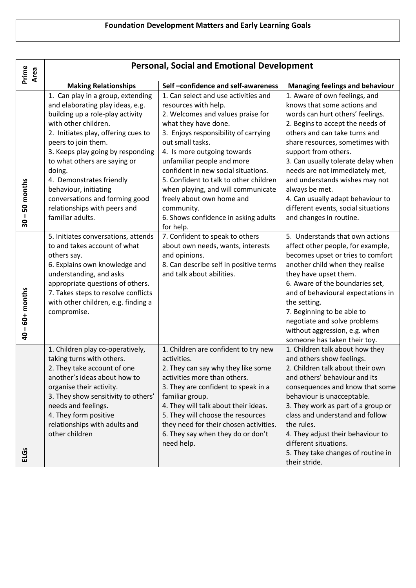| Prime<br>Area                                | <b>Personal, Social and Emotional Development</b>                                                                                                                                                                                                                                                                                                                                                                         |                                                                                                                                                                                                                                                                                                                                                                                                                                                                           |                                                                                                                                                                                                                                                                                                                                                                                                                                                                     |  |
|----------------------------------------------|---------------------------------------------------------------------------------------------------------------------------------------------------------------------------------------------------------------------------------------------------------------------------------------------------------------------------------------------------------------------------------------------------------------------------|---------------------------------------------------------------------------------------------------------------------------------------------------------------------------------------------------------------------------------------------------------------------------------------------------------------------------------------------------------------------------------------------------------------------------------------------------------------------------|---------------------------------------------------------------------------------------------------------------------------------------------------------------------------------------------------------------------------------------------------------------------------------------------------------------------------------------------------------------------------------------------------------------------------------------------------------------------|--|
|                                              | <b>Making Relationships</b>                                                                                                                                                                                                                                                                                                                                                                                               | Self-confidence and self-awareness                                                                                                                                                                                                                                                                                                                                                                                                                                        | <b>Managing feelings and behaviour</b>                                                                                                                                                                                                                                                                                                                                                                                                                              |  |
| 50 months<br>$\mathbf{I}$<br>$\overline{30}$ | 1. Can play in a group, extending<br>and elaborating play ideas, e.g.<br>building up a role-play activity<br>with other children.<br>2. Initiates play, offering cues to<br>peers to join them.<br>3. Keeps play going by responding<br>to what others are saying or<br>doing.<br>4. Demonstrates friendly<br>behaviour, initiating<br>conversations and forming good<br>relationships with peers and<br>familiar adults. | 1. Can select and use activities and<br>resources with help.<br>2. Welcomes and values praise for<br>what they have done.<br>3. Enjoys responsibility of carrying<br>out small tasks.<br>4. Is more outgoing towards<br>unfamiliar people and more<br>confident in new social situations.<br>5. Confident to talk to other children<br>when playing, and will communicate<br>freely about own home and<br>community.<br>6. Shows confidence in asking adults<br>for help. | 1. Aware of own feelings, and<br>knows that some actions and<br>words can hurt others' feelings.<br>2. Begins to accept the needs of<br>others and can take turns and<br>share resources, sometimes with<br>support from others.<br>3. Can usually tolerate delay when<br>needs are not immediately met,<br>and understands wishes may not<br>always be met.<br>4. Can usually adapt behaviour to<br>different events, social situations<br>and changes in routine. |  |
| $40 - 60 +$ months                           | 5. Initiates conversations, attends<br>to and takes account of what<br>others say.<br>6. Explains own knowledge and<br>understanding, and asks<br>appropriate questions of others.<br>7. Takes steps to resolve conflicts<br>with other children, e.g. finding a<br>compromise.                                                                                                                                           | 7. Confident to speak to others<br>about own needs, wants, interests<br>and opinions.<br>8. Can describe self in positive terms<br>and talk about abilities.                                                                                                                                                                                                                                                                                                              | 5. Understands that own actions<br>affect other people, for example,<br>becomes upset or tries to comfort<br>another child when they realise<br>they have upset them.<br>6. Aware of the boundaries set,<br>and of behavioural expectations in<br>the setting.<br>7. Beginning to be able to<br>negotiate and solve problems<br>without aggression, e.g. when<br>someone has taken their toy.                                                                       |  |
| ELGS                                         | 1. Children play co-operatively,<br>taking turns with others.<br>2. They take account of one<br>another's ideas about how to<br>organise their activity.<br>3. They show sensitivity to others'<br>needs and feelings.<br>4. They form positive<br>relationships with adults and<br>other children                                                                                                                        | 1. Children are confident to try new<br>activities.<br>2. They can say why they like some<br>activities more than others.<br>3. They are confident to speak in a<br>familiar group.<br>4. They will talk about their ideas.<br>5. They will choose the resources<br>they need for their chosen activities.<br>6. They say when they do or don't<br>need help.                                                                                                             | 1. Children talk about how they<br>and others show feelings.<br>2. Children talk about their own<br>and others' behaviour and its<br>consequences and know that some<br>behaviour is unacceptable.<br>3. They work as part of a group or<br>class and understand and follow<br>the rules.<br>4. They adjust their behaviour to<br>different situations.<br>5. They take changes of routine in<br>their stride.                                                      |  |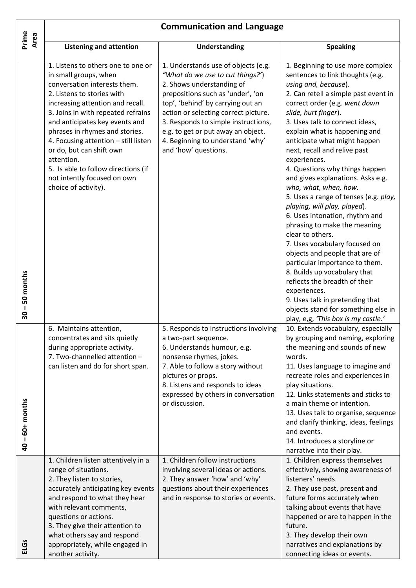| Prime              | <b>Communication and Language</b>                                                                                                                                                                                                                                                                                                                                                                                                                       |                                                                                                                                                                                                                                                                                                                                                                 |                                                                                                                                                                                                                                                                                                                                                                                                                                                                                                                                                                                                                                                                                                                                                                                                                                                                                                                        |  |
|--------------------|---------------------------------------------------------------------------------------------------------------------------------------------------------------------------------------------------------------------------------------------------------------------------------------------------------------------------------------------------------------------------------------------------------------------------------------------------------|-----------------------------------------------------------------------------------------------------------------------------------------------------------------------------------------------------------------------------------------------------------------------------------------------------------------------------------------------------------------|------------------------------------------------------------------------------------------------------------------------------------------------------------------------------------------------------------------------------------------------------------------------------------------------------------------------------------------------------------------------------------------------------------------------------------------------------------------------------------------------------------------------------------------------------------------------------------------------------------------------------------------------------------------------------------------------------------------------------------------------------------------------------------------------------------------------------------------------------------------------------------------------------------------------|--|
| Area               | <b>Listening and attention</b>                                                                                                                                                                                                                                                                                                                                                                                                                          | <b>Understanding</b>                                                                                                                                                                                                                                                                                                                                            | <b>Speaking</b>                                                                                                                                                                                                                                                                                                                                                                                                                                                                                                                                                                                                                                                                                                                                                                                                                                                                                                        |  |
| -50 months<br>30   | 1. Listens to others one to one or<br>in small groups, when<br>conversation interests them.<br>2. Listens to stories with<br>increasing attention and recall.<br>3. Joins in with repeated refrains<br>and anticipates key events and<br>phrases in rhymes and stories.<br>4. Focusing attention - still listen<br>or do, but can shift own<br>attention.<br>5. Is able to follow directions (if<br>not intently focused on own<br>choice of activity). | 1. Understands use of objects (e.g.<br>"What do we use to cut things?")<br>2. Shows understanding of<br>prepositions such as 'under', 'on<br>top', 'behind' by carrying out an<br>action or selecting correct picture.<br>3. Responds to simple instructions,<br>e.g. to get or put away an object.<br>4. Beginning to understand 'why'<br>and 'how' questions. | 1. Beginning to use more complex<br>sentences to link thoughts (e.g.<br>using and, because).<br>2. Can retell a simple past event in<br>correct order (e.g. went down<br>slide, hurt finger).<br>3. Uses talk to connect ideas,<br>explain what is happening and<br>anticipate what might happen<br>next, recall and relive past<br>experiences.<br>4. Questions why things happen<br>and gives explanations. Asks e.g.<br>who, what, when, how.<br>5. Uses a range of tenses (e.g. play,<br>playing, will play, played).<br>6. Uses intonation, rhythm and<br>phrasing to make the meaning<br>clear to others.<br>7. Uses vocabulary focused on<br>objects and people that are of<br>particular importance to them.<br>8. Builds up vocabulary that<br>reflects the breadth of their<br>experiences.<br>9. Uses talk in pretending that<br>objects stand for something else in<br>play, e,g, 'This box is my castle.' |  |
| $40 - 60 +$ months | 6. Maintains attention,<br>concentrates and sits quietly<br>during appropriate activity.<br>7. Two-channelled attention -<br>can listen and do for short span.                                                                                                                                                                                                                                                                                          | 5. Responds to instructions involving<br>a two-part sequence.<br>6. Understands humour, e.g.<br>nonsense rhymes, jokes.<br>7. Able to follow a story without<br>pictures or props.<br>8. Listens and responds to ideas<br>expressed by others in conversation<br>or discussion.                                                                                 | 10. Extends vocabulary, especially<br>by grouping and naming, exploring<br>the meaning and sounds of new<br>words.<br>11. Uses language to imagine and<br>recreate roles and experiences in<br>play situations.<br>12. Links statements and sticks to<br>a main theme or intention.<br>13. Uses talk to organise, sequence<br>and clarify thinking, ideas, feelings<br>and events.<br>14. Introduces a storyline or<br>narrative into their play.                                                                                                                                                                                                                                                                                                                                                                                                                                                                      |  |
| ELGS               | 1. Children listen attentively in a<br>range of situations.<br>2. They listen to stories,<br>accurately anticipating key events<br>and respond to what they hear<br>with relevant comments,<br>questions or actions.<br>3. They give their attention to<br>what others say and respond<br>appropriately, while engaged in<br>another activity.                                                                                                          | 1. Children follow instructions<br>involving several ideas or actions.<br>2. They answer 'how' and 'why'<br>questions about their experiences<br>and in response to stories or events.                                                                                                                                                                          | 1. Children express themselves<br>effectively, showing awareness of<br>listeners' needs.<br>2. They use past, present and<br>future forms accurately when<br>talking about events that have<br>happened or are to happen in the<br>future.<br>3. They develop their own<br>narratives and explanations by<br>connecting ideas or events.                                                                                                                                                                                                                                                                                                                                                                                                                                                                                                                                                                               |  |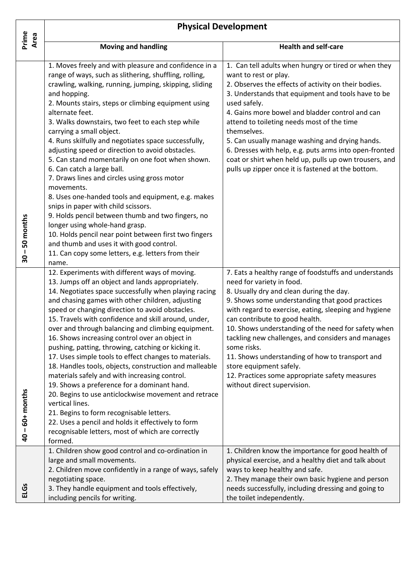|                    | <b>Physical Development</b>                                                                                                                                                                                                                                                                                                                                                                                                                                                                                                                                                                                                                                                                                                                                                                                                                                                                                                                               |                                                                                                                                                                                                                                                                                                                                                                                                                                                                                                                                                                         |  |  |
|--------------------|-----------------------------------------------------------------------------------------------------------------------------------------------------------------------------------------------------------------------------------------------------------------------------------------------------------------------------------------------------------------------------------------------------------------------------------------------------------------------------------------------------------------------------------------------------------------------------------------------------------------------------------------------------------------------------------------------------------------------------------------------------------------------------------------------------------------------------------------------------------------------------------------------------------------------------------------------------------|-------------------------------------------------------------------------------------------------------------------------------------------------------------------------------------------------------------------------------------------------------------------------------------------------------------------------------------------------------------------------------------------------------------------------------------------------------------------------------------------------------------------------------------------------------------------------|--|--|
| Prime<br>Area      | <b>Moving and handling</b>                                                                                                                                                                                                                                                                                                                                                                                                                                                                                                                                                                                                                                                                                                                                                                                                                                                                                                                                | <b>Health and self-care</b>                                                                                                                                                                                                                                                                                                                                                                                                                                                                                                                                             |  |  |
|                    | 1. Moves freely and with pleasure and confidence in a<br>range of ways, such as slithering, shuffling, rolling,<br>crawling, walking, running, jumping, skipping, sliding<br>and hopping.<br>2. Mounts stairs, steps or climbing equipment using<br>alternate feet.                                                                                                                                                                                                                                                                                                                                                                                                                                                                                                                                                                                                                                                                                       | 1. Can tell adults when hungry or tired or when they<br>want to rest or play.<br>2. Observes the effects of activity on their bodies.<br>3. Understands that equipment and tools have to be<br>used safely.<br>4. Gains more bowel and bladder control and can                                                                                                                                                                                                                                                                                                          |  |  |
|                    | 3. Walks downstairs, two feet to each step while<br>carrying a small object.<br>4. Runs skilfully and negotiates space successfully,<br>adjusting speed or direction to avoid obstacles.<br>5. Can stand momentarily on one foot when shown.<br>6. Can catch a large ball.<br>7. Draws lines and circles using gross motor<br>movements.<br>8. Uses one-handed tools and equipment, e.g. makes                                                                                                                                                                                                                                                                                                                                                                                                                                                                                                                                                            | attend to toileting needs most of the time<br>themselves.<br>5. Can usually manage washing and drying hands.<br>6. Dresses with help, e.g. puts arms into open-fronted<br>coat or shirt when held up, pulls up own trousers, and<br>pulls up zipper once it is fastened at the bottom.                                                                                                                                                                                                                                                                                  |  |  |
| -50 months<br>30   | snips in paper with child scissors.<br>9. Holds pencil between thumb and two fingers, no<br>longer using whole-hand grasp.<br>10. Holds pencil near point between first two fingers<br>and thumb and uses it with good control.<br>11. Can copy some letters, e.g. letters from their<br>name.                                                                                                                                                                                                                                                                                                                                                                                                                                                                                                                                                                                                                                                            |                                                                                                                                                                                                                                                                                                                                                                                                                                                                                                                                                                         |  |  |
| $40 - 60 +$ months | 12. Experiments with different ways of moving.<br>13. Jumps off an object and lands appropriately.<br>14. Negotiates space successfully when playing racing<br>and chasing games with other children, adjusting<br>speed or changing direction to avoid obstacles.<br>15. Travels with confidence and skill around, under,<br>over and through balancing and climbing equipment.<br>16. Shows increasing control over an object in<br>pushing, patting, throwing, catching or kicking it.<br>17. Uses simple tools to effect changes to materials.<br>18. Handles tools, objects, construction and malleable<br>materials safely and with increasing control.<br>19. Shows a preference for a dominant hand.<br>20. Begins to use anticlockwise movement and retrace<br>vertical lines.<br>21. Begins to form recognisable letters.<br>22. Uses a pencil and holds it effectively to form<br>recognisable letters, most of which are correctly<br>formed. | 7. Eats a healthy range of foodstuffs and understands<br>need for variety in food.<br>8. Usually dry and clean during the day.<br>9. Shows some understanding that good practices<br>with regard to exercise, eating, sleeping and hygiene<br>can contribute to good health.<br>10. Shows understanding of the need for safety when<br>tackling new challenges, and considers and manages<br>some risks.<br>11. Shows understanding of how to transport and<br>store equipment safely.<br>12. Practices some appropriate safety measures<br>without direct supervision. |  |  |
| ELGS               | 1. Children show good control and co-ordination in<br>large and small movements.<br>2. Children move confidently in a range of ways, safely<br>negotiating space.<br>3. They handle equipment and tools effectively,<br>including pencils for writing.                                                                                                                                                                                                                                                                                                                                                                                                                                                                                                                                                                                                                                                                                                    | 1. Children know the importance for good health of<br>physical exercise, and a healthy diet and talk about<br>ways to keep healthy and safe.<br>2. They manage their own basic hygiene and person<br>needs successfully, including dressing and going to<br>the toilet independently.                                                                                                                                                                                                                                                                                   |  |  |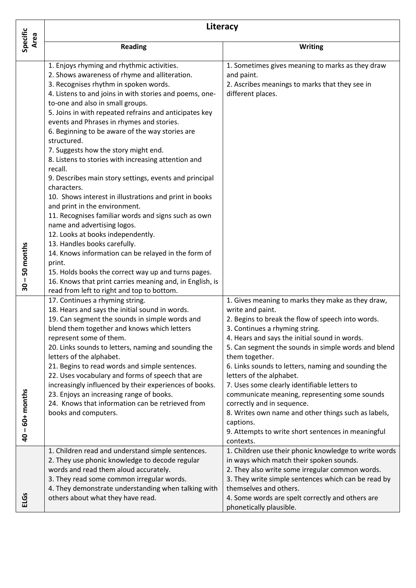| Specific<br>Area                                                            | Literacy                                                                                                                                                                                                                                                                                                                                                                                                                                                                                                                                                                                                                                                                                                                                                                                                                                                                                                               |                                                                                                                                                                                                                                                                                                                                                                                                                                                                                                                                                                                                                                                 |  |  |
|-----------------------------------------------------------------------------|------------------------------------------------------------------------------------------------------------------------------------------------------------------------------------------------------------------------------------------------------------------------------------------------------------------------------------------------------------------------------------------------------------------------------------------------------------------------------------------------------------------------------------------------------------------------------------------------------------------------------------------------------------------------------------------------------------------------------------------------------------------------------------------------------------------------------------------------------------------------------------------------------------------------|-------------------------------------------------------------------------------------------------------------------------------------------------------------------------------------------------------------------------------------------------------------------------------------------------------------------------------------------------------------------------------------------------------------------------------------------------------------------------------------------------------------------------------------------------------------------------------------------------------------------------------------------------|--|--|
|                                                                             | <b>Reading</b>                                                                                                                                                                                                                                                                                                                                                                                                                                                                                                                                                                                                                                                                                                                                                                                                                                                                                                         | Writing                                                                                                                                                                                                                                                                                                                                                                                                                                                                                                                                                                                                                                         |  |  |
| 50 months                                                                   | 1. Enjoys rhyming and rhythmic activities.<br>2. Shows awareness of rhyme and alliteration.<br>3. Recognises rhythm in spoken words.<br>4. Listens to and joins in with stories and poems, one-<br>to-one and also in small groups.<br>5. Joins in with repeated refrains and anticipates key<br>events and Phrases in rhymes and stories.<br>6. Beginning to be aware of the way stories are<br>structured.<br>7. Suggests how the story might end.<br>8. Listens to stories with increasing attention and<br>recall.<br>9. Describes main story settings, events and principal<br>characters.<br>10. Shows interest in illustrations and print in books<br>and print in the environment.<br>11. Recognises familiar words and signs such as own<br>name and advertising logos.<br>12. Looks at books independently.<br>13. Handles books carefully.<br>14. Knows information can be relayed in the form of<br>print. | 1. Sometimes gives meaning to marks as they draw<br>and paint.<br>2. Ascribes meanings to marks that they see in<br>different places.                                                                                                                                                                                                                                                                                                                                                                                                                                                                                                           |  |  |
| $\mathbf{I}$<br>$\overline{\mathbf{30}}$<br>$-60+$ months<br>$\overline{a}$ | 15. Holds books the correct way up and turns pages.<br>16. Knows that print carries meaning and, in English, is<br>read from left to right and top to bottom.<br>17. Continues a rhyming string.<br>18. Hears and says the initial sound in words.<br>19. Can segment the sounds in simple words and<br>blend them together and knows which letters<br>represent some of them.<br>20. Links sounds to letters, naming and sounding the<br>letters of the alphabet.<br>21. Begins to read words and simple sentences.<br>22. Uses vocabulary and forms of speech that are<br>increasingly influenced by their experiences of books.<br>23. Enjoys an increasing range of books.<br>24. Knows that information can be retrieved from<br>books and computers.                                                                                                                                                             | 1. Gives meaning to marks they make as they draw,<br>write and paint.<br>2. Begins to break the flow of speech into words.<br>3. Continues a rhyming string.<br>4. Hears and says the initial sound in words.<br>5. Can segment the sounds in simple words and blend<br>them together.<br>6. Links sounds to letters, naming and sounding the<br>letters of the alphabet.<br>7. Uses some clearly identifiable letters to<br>communicate meaning, representing some sounds<br>correctly and in sequence.<br>8. Writes own name and other things such as labels,<br>captions.<br>9. Attempts to write short sentences in meaningful<br>contexts. |  |  |
| <b>ELGs</b>                                                                 | 1. Children read and understand simple sentences.<br>2. They use phonic knowledge to decode regular<br>words and read them aloud accurately.<br>3. They read some common irregular words.<br>4. They demonstrate understanding when talking with<br>others about what they have read.                                                                                                                                                                                                                                                                                                                                                                                                                                                                                                                                                                                                                                  | 1. Children use their phonic knowledge to write words<br>in ways which match their spoken sounds.<br>2. They also write some irregular common words.<br>3. They write simple sentences which can be read by<br>themselves and others.<br>4. Some words are spelt correctly and others are<br>phonetically plausible.                                                                                                                                                                                                                                                                                                                            |  |  |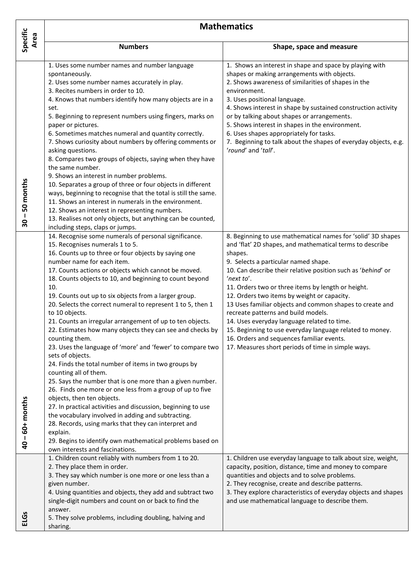|                    | <b>Mathematics</b>                                                                                                                                                                                                                                                                                                                                                                                                                                                                                                                                                                                                                                                                                                                                                                                                                                                                                                                                                                                                                                                                                                                                                                                                  |                                                                                                                                                                                                                                                                                                                                                                                                                                                                                                                                                                                                                                                                                 |  |
|--------------------|---------------------------------------------------------------------------------------------------------------------------------------------------------------------------------------------------------------------------------------------------------------------------------------------------------------------------------------------------------------------------------------------------------------------------------------------------------------------------------------------------------------------------------------------------------------------------------------------------------------------------------------------------------------------------------------------------------------------------------------------------------------------------------------------------------------------------------------------------------------------------------------------------------------------------------------------------------------------------------------------------------------------------------------------------------------------------------------------------------------------------------------------------------------------------------------------------------------------|---------------------------------------------------------------------------------------------------------------------------------------------------------------------------------------------------------------------------------------------------------------------------------------------------------------------------------------------------------------------------------------------------------------------------------------------------------------------------------------------------------------------------------------------------------------------------------------------------------------------------------------------------------------------------------|--|
| Specific<br>Area   | <b>Numbers</b>                                                                                                                                                                                                                                                                                                                                                                                                                                                                                                                                                                                                                                                                                                                                                                                                                                                                                                                                                                                                                                                                                                                                                                                                      | Shape, space and measure                                                                                                                                                                                                                                                                                                                                                                                                                                                                                                                                                                                                                                                        |  |
| $30 - 50$ months   | 1. Uses some number names and number language<br>spontaneously.<br>2. Uses some number names accurately in play.<br>3. Recites numbers in order to 10.<br>4. Knows that numbers identify how many objects are in a<br>set.<br>5. Beginning to represent numbers using fingers, marks on<br>paper or pictures.<br>6. Sometimes matches numeral and quantity correctly.<br>7. Shows curiosity about numbers by offering comments or<br>asking questions.<br>8. Compares two groups of objects, saying when they have<br>the same number.<br>9. Shows an interest in number problems.<br>10. Separates a group of three or four objects in different<br>ways, beginning to recognise that the total is still the same.<br>11. Shows an interest in numerals in the environment.<br>12. Shows an interest in representing numbers.<br>13. Realises not only objects, but anything can be counted,<br>including steps, claps or jumps.                                                                                                                                                                                                                                                                                   | 1. Shows an interest in shape and space by playing with<br>shapes or making arrangements with objects.<br>2. Shows awareness of similarities of shapes in the<br>environment.<br>3. Uses positional language.<br>4. Shows interest in shape by sustained construction activity<br>or by talking about shapes or arrangements.<br>5. Shows interest in shapes in the environment.<br>6. Uses shapes appropriately for tasks.<br>7. Beginning to talk about the shapes of everyday objects, e.g.<br>'round' and 'tall'.                                                                                                                                                           |  |
| $40 - 60 +$ months | 14. Recognise some numerals of personal significance.<br>15. Recognises numerals 1 to 5.<br>16. Counts up to three or four objects by saying one<br>number name for each item.<br>17. Counts actions or objects which cannot be moved.<br>18. Counts objects to 10, and beginning to count beyond<br>10.<br>19. Counts out up to six objects from a larger group.<br>20. Selects the correct numeral to represent 1 to 5, then 1<br>to 10 objects.<br>21. Counts an irregular arrangement of up to ten objects.<br>22. Estimates how many objects they can see and checks by<br>counting them.<br>23. Uses the language of 'more' and 'fewer' to compare two<br>sets of objects.<br>24. Finds the total number of items in two groups by<br>counting all of them.<br>25. Says the number that is one more than a given number.<br>26. Finds one more or one less from a group of up to five<br>objects, then ten objects.<br>27. In practical activities and discussion, beginning to use<br>the vocabulary involved in adding and subtracting.<br>28. Records, using marks that they can interpret and<br>explain.<br>29. Begins to identify own mathematical problems based on<br>own interests and fascinations. | 8. Beginning to use mathematical names for 'solid' 3D shapes<br>and 'flat' 2D shapes, and mathematical terms to describe<br>shapes.<br>9. Selects a particular named shape.<br>10. Can describe their relative position such as 'behind' or<br>'next to'.<br>11. Orders two or three items by length or height.<br>12. Orders two items by weight or capacity.<br>13 Uses familiar objects and common shapes to create and<br>recreate patterns and build models.<br>14. Uses everyday language related to time.<br>15. Beginning to use everyday language related to money.<br>16. Orders and sequences familiar events.<br>17. Measures short periods of time in simple ways. |  |
| <b>ELGs</b>        | 1. Children count reliably with numbers from 1 to 20.<br>2. They place them in order.<br>3. They say which number is one more or one less than a<br>given number.<br>4. Using quantities and objects, they add and subtract two<br>single-digit numbers and count on or back to find the<br>answer.<br>5. They solve problems, including doubling, halving and<br>sharing.                                                                                                                                                                                                                                                                                                                                                                                                                                                                                                                                                                                                                                                                                                                                                                                                                                          | 1. Children use everyday language to talk about size, weight,<br>capacity, position, distance, time and money to compare<br>quantities and objects and to solve problems.<br>2. They recognise, create and describe patterns.<br>3. They explore characteristics of everyday objects and shapes<br>and use mathematical language to describe them.                                                                                                                                                                                                                                                                                                                              |  |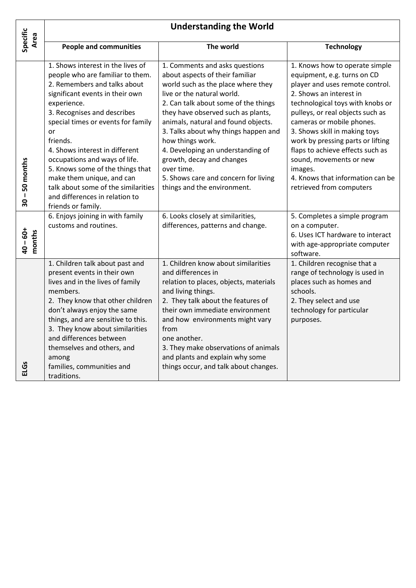|                                 | <b>Understanding the World</b>                                                                                                                                                                                                                                                                                                                                                                                                                                                    |                                                                                                                                                                                                                                                                                                                                                                                                                                                                               |                                                                                                                                                                                                                                                                                                                                                                                                                                                  |  |
|---------------------------------|-----------------------------------------------------------------------------------------------------------------------------------------------------------------------------------------------------------------------------------------------------------------------------------------------------------------------------------------------------------------------------------------------------------------------------------------------------------------------------------|-------------------------------------------------------------------------------------------------------------------------------------------------------------------------------------------------------------------------------------------------------------------------------------------------------------------------------------------------------------------------------------------------------------------------------------------------------------------------------|--------------------------------------------------------------------------------------------------------------------------------------------------------------------------------------------------------------------------------------------------------------------------------------------------------------------------------------------------------------------------------------------------------------------------------------------------|--|
| Specific<br>Area                | <b>People and communities</b>                                                                                                                                                                                                                                                                                                                                                                                                                                                     | The world                                                                                                                                                                                                                                                                                                                                                                                                                                                                     | <b>Technology</b>                                                                                                                                                                                                                                                                                                                                                                                                                                |  |
| $-50$ months<br>$\overline{30}$ | 1. Shows interest in the lives of<br>people who are familiar to them.<br>2. Remembers and talks about<br>significant events in their own<br>experience.<br>3. Recognises and describes<br>special times or events for family<br>or<br>friends.<br>4. Shows interest in different<br>occupations and ways of life.<br>5. Knows some of the things that<br>make them unique, and can<br>talk about some of the similarities<br>and differences in relation to<br>friends or family. | 1. Comments and asks questions<br>about aspects of their familiar<br>world such as the place where they<br>live or the natural world.<br>2. Can talk about some of the things<br>they have observed such as plants,<br>animals, natural and found objects.<br>3. Talks about why things happen and<br>how things work.<br>4. Developing an understanding of<br>growth, decay and changes<br>over time.<br>5. Shows care and concern for living<br>things and the environment. | 1. Knows how to operate simple<br>equipment, e.g. turns on CD<br>player and uses remote control.<br>2. Shows an interest in<br>technological toys with knobs or<br>pulleys, or real objects such as<br>cameras or mobile phones.<br>3. Shows skill in making toys<br>work by pressing parts or lifting<br>flaps to achieve effects such as<br>sound, movements or new<br>images.<br>4. Knows that information can be<br>retrieved from computers |  |
| $40 - 60 +$<br>months           | 6. Enjoys joining in with family<br>customs and routines.                                                                                                                                                                                                                                                                                                                                                                                                                         | 6. Looks closely at similarities,<br>differences, patterns and change.                                                                                                                                                                                                                                                                                                                                                                                                        | 5. Completes a simple program<br>on a computer.<br>6. Uses ICT hardware to interact<br>with age-appropriate computer<br>software.                                                                                                                                                                                                                                                                                                                |  |
| <b>ELGS</b>                     | 1. Children talk about past and<br>present events in their own<br>lives and in the lives of family<br>members.<br>2. They know that other children<br>don't always enjoy the same<br>things, and are sensitive to this.<br>3. They know about similarities<br>and differences between<br>themselves and others, and<br>among<br>families, communities and<br>traditions.                                                                                                          | 1. Children know about similarities<br>and differences in<br>relation to places, objects, materials<br>and living things.<br>2. They talk about the features of<br>their own immediate environment<br>and how environments might vary<br>from<br>one another.<br>3. They make observations of animals<br>and plants and explain why some<br>things occur, and talk about changes.                                                                                             | 1. Children recognise that a<br>range of technology is used in<br>places such as homes and<br>schools.<br>2. They select and use<br>technology for particular<br>purposes.                                                                                                                                                                                                                                                                       |  |